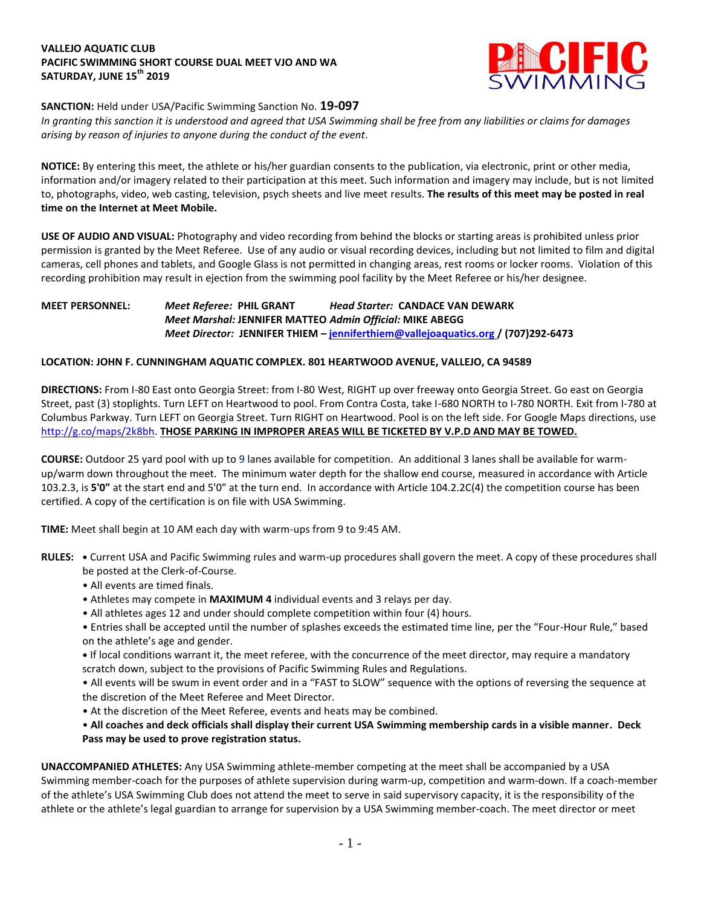#### **VALLEJO AQUATIC CLUB PACIFIC SWIMMING SHORT COURSE DUAL MEET VJO AND WA SATURDAY, JUNE 15th 2019**



#### **SANCTION:** Held under USA/Pacific Swimming Sanction No. **19-097**

*In granting this sanction it is understood and agreed that USA Swimming shall be free from any liabilities or claims for damages arising by reason of injuries to anyone during the conduct of the event.*

**NOTICE:** By entering this meet, the athlete or his/her guardian consents to the publication, via electronic, print or other media, information and/or imagery related to their participation at this meet. Such information and imagery may include, but is not limited to, photographs, video, web casting, television, psych sheets and live meet results. **The results of this meet may be posted in real time on the Internet at Meet Mobile.**

**USE OF AUDIO AND VISUAL:** Photography and video recording from behind the blocks or starting areas is prohibited unless prior permission is granted by the Meet Referee. Use of any audio or visual recording devices, including but not limited to film and digital cameras, cell phones and tablets, and Google Glass is not permitted in changing areas, rest rooms or locker rooms. Violation of this recording prohibition may result in ejection from the swimming pool facility by the Meet Referee or his/her designee.

### **MEET PERSONNEL:** *Meet Referee:* **PHIL GRANT** *Head Starter:* **CANDACE VAN DEWARK** *Meet Marshal:* **JENNIFER MATTEO** *Admin Official:* **MIKE ABEGG** *Meet Director:* **JENNIFER THIEM – [jenniferthiem@vallejoaquatics.org](mailto:jenniferthiem@vallejoaquatics.org) / (707)292-6473**

#### **LOCATION: JOHN F. CUNNINGHAM AQUATIC COMPLEX. 801 HEARTWOOD AVENUE, VALLEJO, CA 94589**

**DIRECTIONS:** From I-80 East onto Georgia Street: from I-80 West, RIGHT up over freeway onto Georgia Street. Go east on Georgia Street, past (3) stoplights. Turn LEFT on Heartwood to pool. From Contra Costa, take I-680 NORTH to I-780 NORTH. Exit from I-780 at Columbus Parkway. Turn LEFT on Georgia Street. Turn RIGHT on Heartwood. Pool is on the left side. For Google Maps directions, use [http://g.co/maps/2k8bh.](http://g.co/maps/2k8bh) **THOSE PARKING IN IMPROPER AREAS WILL BE TICKETED BY V.P.D AND MAY BE TOWED.** 

**COURSE:** Outdoor 25 yard pool with up to 9 lanes available for competition.An additional 3 lanes shall be available for warmup/warm down throughout the meet. The minimum water depth for the shallow end course, measured in accordance with Article 103.2.3, is **5'0"** at the start end and 5'0" at the turn end. In accordance with Article 104.2.2C(4) the competition course has been certified. A copy of the certification is on file with USA Swimming.

**TIME:** Meet shall begin at 10 AM each day with warm-ups from 9 to 9:45 AM.

- **RULES: •** Current USA and Pacific Swimming rules and warm-up procedures shall govern the meet. A copy of these procedures shall be posted at the Clerk-of-Course.
	- All events are timed finals.
	- Athletes may compete in **MAXIMUM 4** individual events and 3 relays per day.
	- All athletes ages 12 and under should complete competition within four (4) hours.
	- Entries shall be accepted until the number of splashes exceeds the estimated time line, per the "Four-Hour Rule," based on the athlete's age and gender.

**•** If local conditions warrant it, the meet referee, with the concurrence of the meet director, may require a mandatory scratch down, subject to the provisions of Pacific Swimming Rules and Regulations.

• All events will be swum in event order and in a "FAST to SLOW" sequence with the options of reversing the sequence at the discretion of the Meet Referee and Meet Director.

• At the discretion of the Meet Referee, events and heats may be combined.

#### • **All coaches and deck officials shall display their current USA Swimming membership cards in a visible manner. Deck Pass may be used to prove registration status.**

**UNACCOMPANIED ATHLETES:** Any USA Swimming athlete-member competing at the meet shall be accompanied by a USA Swimming member-coach for the purposes of athlete supervision during warm-up, competition and warm-down. If a coach-member of the athlete's USA Swimming Club does not attend the meet to serve in said supervisory capacity, it is the responsibility of the athlete or the athlete's legal guardian to arrange for supervision by a USA Swimming member-coach. The meet director or meet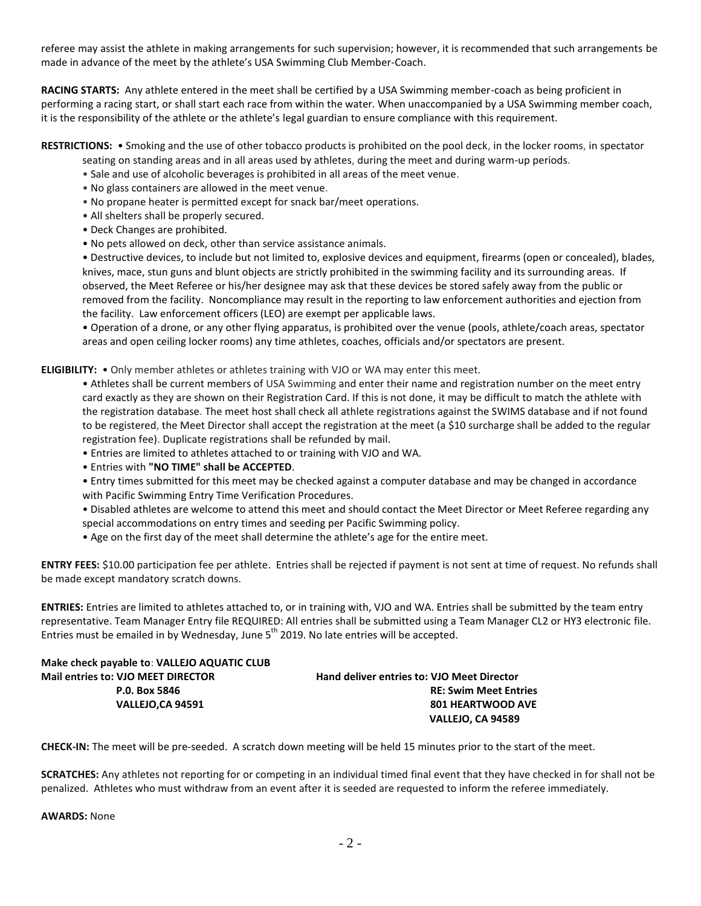referee may assist the athlete in making arrangements for such supervision; however, it is recommended that such arrangements be made in advance of the meet by the athlete's USA Swimming Club Member-Coach.

**RACING STARTS:** Any athlete entered in the meet shall be certified by a USA Swimming member-coach as being proficient in performing a racing start, or shall start each race from within the water. When unaccompanied by a USA Swimming member coach, it is the responsibility of the athlete or the athlete's legal guardian to ensure compliance with this requirement.

#### **RESTRICTIONS:** • Smoking and the use of other tobacco products is prohibited on the pool deck, in the locker rooms, in spectator seating on standing areas and in all areas used by athletes, during the meet and during warm-up periods.

- Sale and use of alcoholic beverages is prohibited in all areas of the meet venue.
- No glass containers are allowed in the meet venue.
- No propane heater is permitted except for snack bar/meet operations.
- All shelters shall be properly secured.
- Deck Changes are prohibited.
- No pets allowed on deck, other than service assistance animals.

• Destructive devices, to include but not limited to, explosive devices and equipment, firearms (open or concealed), blades, knives, mace, stun guns and blunt objects are strictly prohibited in the swimming facility and its surrounding areas. If observed, the Meet Referee or his/her designee may ask that these devices be stored safely away from the public or removed from the facility. Noncompliance may result in the reporting to law enforcement authorities and ejection from the facility. Law enforcement officers (LEO) are exempt per applicable laws.

• Operation of a drone, or any other flying apparatus, is prohibited over the venue (pools, athlete/coach areas, spectator areas and open ceiling locker rooms) any time athletes, coaches, officials and/or spectators are present.

**ELIGIBILITY:** • Only member athletes or athletes training with VJO or WA may enter this meet.

• Athletes shall be current members of USA Swimming and enter their name and registration number on the meet entry card exactly as they are shown on their Registration Card. If this is not done, it may be difficult to match the athlete with the registration database. The meet host shall check all athlete registrations against the SWIMS database and if not found to be registered, the Meet Director shall accept the registration at the meet (a \$10 surcharge shall be added to the regular registration fee). Duplicate registrations shall be refunded by mail.

- Entries are limited to athletes attached to or training with VJO and WA.
- Entries with **"NO TIME" shall be ACCEPTED**.
- Entry times submitted for this meet may be checked against a computer database and may be changed in accordance with Pacific Swimming Entry Time Verification Procedures.

• Disabled athletes are welcome to attend this meet and should contact the Meet Director or Meet Referee regarding any special accommodations on entry times and seeding per Pacific Swimming policy.

• Age on the first day of the meet shall determine the athlete's age for the entire meet.

**ENTRY FEES:** \$10.00 participation fee per athlete. Entries shall be rejected if payment is not sent at time of request. No refunds shall be made except mandatory scratch downs.

**ENTRIES:** Entries are limited to athletes attached to, or in training with, VJO and WA. Entries shall be submitted by the team entry representative. Team Manager Entry file REQUIRED: All entries shall be submitted using a Team Manager CL2 or HY3 electronic file. Entries must be emailed in by Wednesday, June  $5<sup>th</sup>$  2019. No late entries will be accepted.

# **Make check payable to**: **VALLEJO AQUATIC CLUB Mail entries to: VJO MEET DIRECTOR Hand deliver entries to: VJO Meet Director**

 **P.0. Box 5846 RE: Swim Meet Entries VALLEJO,CA 94591 801 HEARTWOOD AVE VALLEJO, CA 94589**

**CHECK-IN:** The meet will be pre-seeded. A scratch down meeting will be held 15 minutes prior to the start of the meet.

**SCRATCHES:** Any athletes not reporting for or competing in an individual timed final event that they have checked in for shall not be penalized. Athletes who must withdraw from an event after it is seeded are requested to inform the referee immediately.

**AWARDS:** None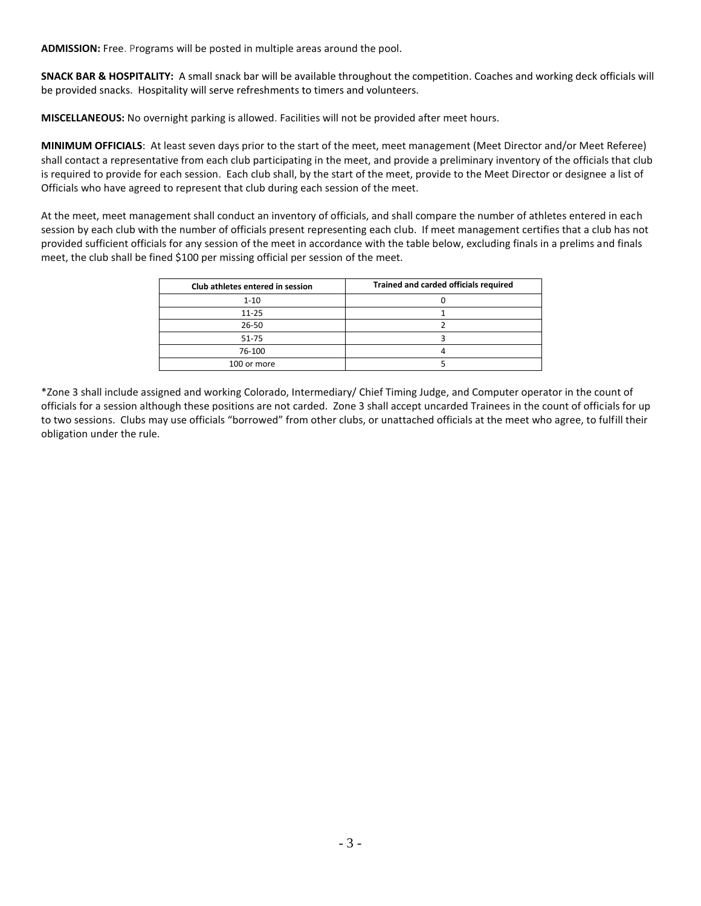**ADMISSION:** Free. Programs will be posted in multiple areas around the pool.

**SNACK BAR & HOSPITALITY:** A small snack bar will be available throughout the competition. Coaches and working deck officials will be provided snacks. Hospitality will serve refreshments to timers and volunteers.

**MISCELLANEOUS:** No overnight parking is allowed. Facilities will not be provided after meet hours.

**MINIMUM OFFICIALS**: At least seven days prior to the start of the meet, meet management (Meet Director and/or Meet Referee) shall contact a representative from each club participating in the meet, and provide a preliminary inventory of the officials that club is required to provide for each session. Each club shall, by the start of the meet, provide to the Meet Director or designee a list of Officials who have agreed to represent that club during each session of the meet.

At the meet, meet management shall conduct an inventory of officials, and shall compare the number of athletes entered in each session by each club with the number of officials present representing each club. If meet management certifies that a club has not provided sufficient officials for any session of the meet in accordance with the table below, excluding finals in a prelims and finals meet, the club shall be fined \$100 per missing official per session of the meet.

| Club athletes entered in session | Trained and carded officials required |
|----------------------------------|---------------------------------------|
| $1 - 10$                         |                                       |
| $11 - 25$                        |                                       |
| 26-50                            |                                       |
| 51-75                            |                                       |
| 76-100                           |                                       |
| 100 or more                      |                                       |

\*Zone 3 shall include assigned and working Colorado, Intermediary/ Chief Timing Judge, and Computer operator in the count of officials for a session although these positions are not carded. Zone 3 shall accept uncarded Trainees in the count of officials for up to two sessions. Clubs may use officials "borrowed" from other clubs, or unattached officials at the meet who agree, to fulfill their obligation under the rule.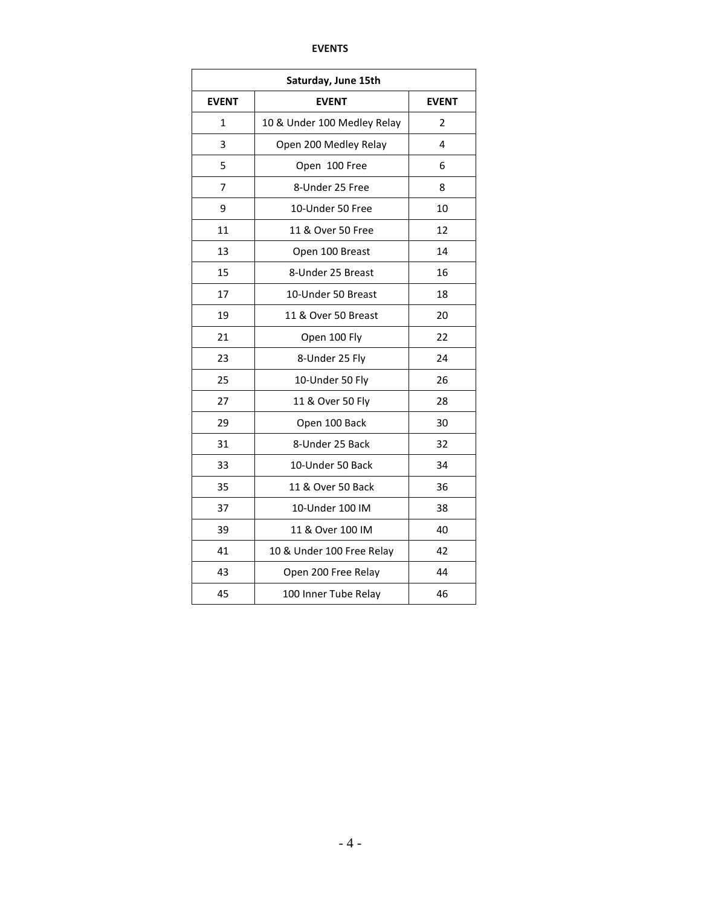## **EVENTS**

| Saturday, June 15th |                             |              |  |  |  |  |  |
|---------------------|-----------------------------|--------------|--|--|--|--|--|
| <b>EVENT</b>        | <b>EVENT</b>                | <b>EVENT</b> |  |  |  |  |  |
| 1                   | 10 & Under 100 Medley Relay | 2            |  |  |  |  |  |
| 3                   | Open 200 Medley Relay       | 4            |  |  |  |  |  |
| 5                   | Open 100 Free               | 6            |  |  |  |  |  |
| 7                   | 8-Under 25 Free             | 8            |  |  |  |  |  |
| 9                   | 10-Under 50 Free            | 10           |  |  |  |  |  |
| 11                  | 11 & Over 50 Free           | 12           |  |  |  |  |  |
| 13                  | Open 100 Breast             | 14           |  |  |  |  |  |
| 15                  | 8-Under 25 Breast           | 16           |  |  |  |  |  |
| 17                  | 10-Under 50 Breast          | 18           |  |  |  |  |  |
| 19                  | 11 & Over 50 Breast         | 20           |  |  |  |  |  |
| 21                  | Open 100 Fly                | 22           |  |  |  |  |  |
| 23                  | 8-Under 25 Fly              | 24           |  |  |  |  |  |
| 25                  | 10-Under 50 Fly             | 26           |  |  |  |  |  |
| 27                  | 11 & Over 50 Fly            | 28           |  |  |  |  |  |
| 29                  | Open 100 Back               | 30           |  |  |  |  |  |
| 31                  | 8-Under 25 Back             | 32           |  |  |  |  |  |
| 33                  | 10-Under 50 Back            | 34           |  |  |  |  |  |
| 35                  | 11 & Over 50 Back           | 36           |  |  |  |  |  |
| 37                  | 10-Under 100 IM             | 38           |  |  |  |  |  |
| 39                  | 11 & Over 100 IM            | 40           |  |  |  |  |  |
| 41                  | 10 & Under 100 Free Relay   | 42           |  |  |  |  |  |
| 43                  | Open 200 Free Relay         | 44           |  |  |  |  |  |
| 45                  | 100 Inner Tube Relay        | 46           |  |  |  |  |  |